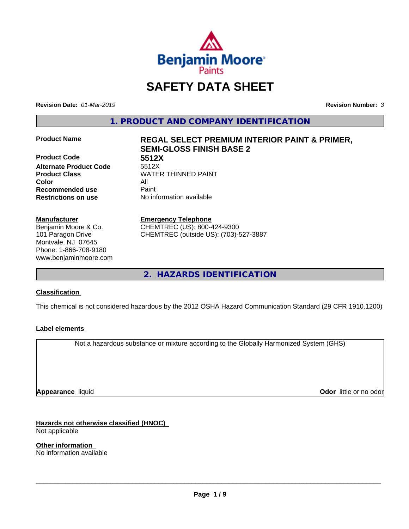

# **SAFETY DATA SHEET**

**Revision Date:** *01-Mar-2019* **Revision Number:** *3*

**1. PRODUCT AND COMPANY IDENTIFICATION**

**Product Code 5512X Alternate Product Code Color** All **Recommended use** Paint **Restrictions on use** No information available

#### **Manufacturer**

Benjamin Moore & Co. 101 Paragon Drive Montvale, NJ 07645 Phone: 1-866-708-9180 www.benjaminmoore.com

# **Product Name REGAL SELECT PREMIUM INTERIOR PAINT & PRIMER, SEMI-GLOSS FINISH BASE 2**

**Product Class WATER THINNED PAINT** 

#### **Emergency Telephone**

CHEMTREC (US): 800-424-9300 CHEMTREC (outside US): (703)-527-3887

**2. HAZARDS IDENTIFICATION**

#### **Classification**

This chemical is not considered hazardous by the 2012 OSHA Hazard Communication Standard (29 CFR 1910.1200)

#### **Label elements**

Not a hazardous substance or mixture according to the Globally Harmonized System (GHS)

**Appearance** liquid

**Odor** little or no odor

**Hazards not otherwise classified (HNOC)** Not applicable

**Other information** No information available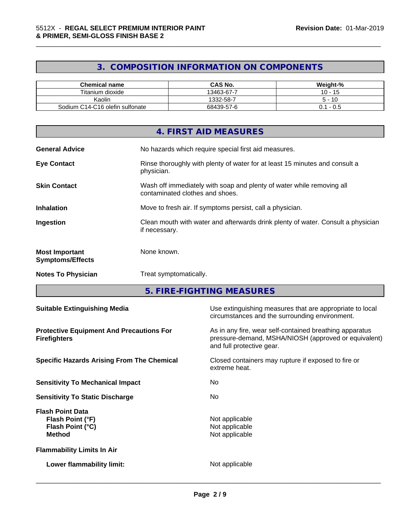# **3. COMPOSITION INFORMATION ON COMPONENTS**

\_\_\_\_\_\_\_\_\_\_\_\_\_\_\_\_\_\_\_\_\_\_\_\_\_\_\_\_\_\_\_\_\_\_\_\_\_\_\_\_\_\_\_\_\_\_\_\_\_\_\_\_\_\_\_\_\_\_\_\_\_\_\_\_\_\_\_\_\_\_\_\_\_\_\_\_\_\_\_\_\_\_\_\_\_\_\_\_\_\_\_\_\_

| <b>Chemical name</b>            | <b>CAS No.</b> | Weight-%             |
|---------------------------------|----------------|----------------------|
| Titanium dioxide                | 13463-67-7     | 4 <sup>F</sup><br>10 |
| Kaolin                          | 1332-58-7      | -10<br>∽             |
| Sodium C14-C16 olefin sulfonate | 68439-57-6     | - U.S<br>ັບ. .       |

|                                                  | 4. FIRST AID MEASURES                                                                                    |
|--------------------------------------------------|----------------------------------------------------------------------------------------------------------|
| <b>General Advice</b>                            | No hazards which require special first aid measures.                                                     |
| <b>Eye Contact</b>                               | Rinse thoroughly with plenty of water for at least 15 minutes and consult a<br>physician.                |
| <b>Skin Contact</b>                              | Wash off immediately with soap and plenty of water while removing all<br>contaminated clothes and shoes. |
| <b>Inhalation</b>                                | Move to fresh air. If symptoms persist, call a physician.                                                |
| Ingestion                                        | Clean mouth with water and afterwards drink plenty of water. Consult a physician<br>if necessary.        |
| <b>Most Important</b><br><b>Symptoms/Effects</b> | None known.                                                                                              |
| <b>Notes To Physician</b>                        | Treat symptomatically.                                                                                   |

**5. FIRE-FIGHTING MEASURES**

| <b>Suitable Extinguishing Media</b>                                              | Use extinguishing measures that are appropriate to local<br>circumstances and the surrounding environment.                                   |
|----------------------------------------------------------------------------------|----------------------------------------------------------------------------------------------------------------------------------------------|
| <b>Protective Equipment And Precautions For</b><br><b>Firefighters</b>           | As in any fire, wear self-contained breathing apparatus<br>pressure-demand, MSHA/NIOSH (approved or equivalent)<br>and full protective gear. |
| <b>Specific Hazards Arising From The Chemical</b>                                | Closed containers may rupture if exposed to fire or<br>extreme heat.                                                                         |
| <b>Sensitivity To Mechanical Impact</b>                                          | No.                                                                                                                                          |
| <b>Sensitivity To Static Discharge</b>                                           | No.                                                                                                                                          |
| <b>Flash Point Data</b><br>Flash Point (°F)<br>Flash Point (°C)<br><b>Method</b> | Not applicable<br>Not applicable<br>Not applicable                                                                                           |
| <b>Flammability Limits In Air</b>                                                |                                                                                                                                              |
| Lower flammability limit:                                                        | Not applicable                                                                                                                               |
|                                                                                  |                                                                                                                                              |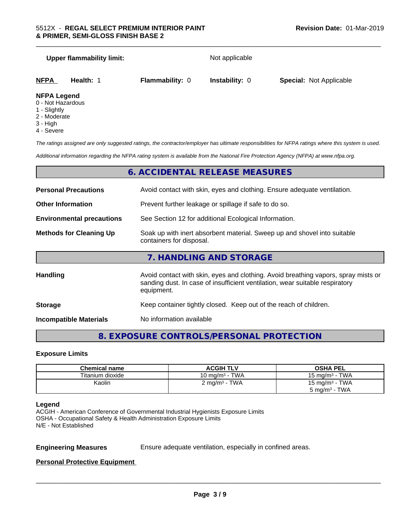| <b>Upper flammability limit:</b>                        |                        | Not applicable        |                                |
|---------------------------------------------------------|------------------------|-----------------------|--------------------------------|
| NFPA<br>Health: 1                                       | <b>Flammability: 0</b> | <b>Instability: 0</b> | <b>Special: Not Applicable</b> |
| <b>NFPA Legend</b><br>0 - Not Hazardous<br>1 - Slightly |                        |                       |                                |

\_\_\_\_\_\_\_\_\_\_\_\_\_\_\_\_\_\_\_\_\_\_\_\_\_\_\_\_\_\_\_\_\_\_\_\_\_\_\_\_\_\_\_\_\_\_\_\_\_\_\_\_\_\_\_\_\_\_\_\_\_\_\_\_\_\_\_\_\_\_\_\_\_\_\_\_\_\_\_\_\_\_\_\_\_\_\_\_\_\_\_\_\_

- 2 Moderate
- 3 High
- 4 Severe

*The ratings assigned are only suggested ratings, the contractor/employer has ultimate responsibilities for NFPA ratings where this system is used.*

*Additional information regarding the NFPA rating system is available from the National Fire Protection Agency (NFPA) at www.nfpa.org.*

### **6. ACCIDENTAL RELEASE MEASURES**

| <b>Personal Precautions</b>      | Avoid contact with skin, eyes and clothing. Ensure adequate ventilation.                                                                                                         |
|----------------------------------|----------------------------------------------------------------------------------------------------------------------------------------------------------------------------------|
| <b>Other Information</b>         | Prevent further leakage or spillage if safe to do so.                                                                                                                            |
| <b>Environmental precautions</b> | See Section 12 for additional Ecological Information.                                                                                                                            |
| <b>Methods for Cleaning Up</b>   | Soak up with inert absorbent material. Sweep up and shovel into suitable<br>containers for disposal.                                                                             |
|                                  | 7. HANDLING AND STORAGE                                                                                                                                                          |
| Handling                         | Avoid contact with skin, eyes and clothing. Avoid breathing vapors, spray mists or<br>sanding dust. In case of insufficient ventilation, wear suitable respiratory<br>equipment. |
| <b>Storage</b>                   | Keep container tightly closed. Keep out of the reach of children.                                                                                                                |

**Incompatible Materials** No information available

# **8. EXPOSURE CONTROLS/PERSONAL PROTECTION**

#### **Exposure Limits**

| <b>Chemical name</b> | <b>ACGIH TLV</b>          | <b>OSHA PEL</b>            |
|----------------------|---------------------------|----------------------------|
| Titanium dioxide     | 10 mg/m $3$ - TWA         | 15 mg/m $3$ - TWA          |
| Kaolin               | 2 mg/m <sup>3</sup> - TWA | 15 mg/m <sup>3</sup> - TWA |
|                      |                           | $5 \text{ mg/m}^3$ - TWA   |

#### **Legend**

ACGIH - American Conference of Governmental Industrial Hygienists Exposure Limits OSHA - Occupational Safety & Health Administration Exposure Limits N/E - Not Established

**Engineering Measures** Ensure adequate ventilation, especially in confined areas.

 $\overline{\phantom{a}}$  ,  $\overline{\phantom{a}}$  ,  $\overline{\phantom{a}}$  ,  $\overline{\phantom{a}}$  ,  $\overline{\phantom{a}}$  ,  $\overline{\phantom{a}}$  ,  $\overline{\phantom{a}}$  ,  $\overline{\phantom{a}}$  ,  $\overline{\phantom{a}}$  ,  $\overline{\phantom{a}}$  ,  $\overline{\phantom{a}}$  ,  $\overline{\phantom{a}}$  ,  $\overline{\phantom{a}}$  ,  $\overline{\phantom{a}}$  ,  $\overline{\phantom{a}}$  ,  $\overline{\phantom{a}}$ 

#### **Personal Protective Equipment**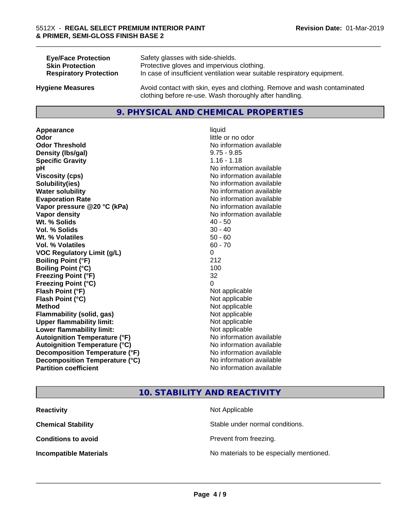| <b>Eye/Face Protection</b>    | Safety glasses with side-shields.                                        |
|-------------------------------|--------------------------------------------------------------------------|
| <b>Skin Protection</b>        | Protective gloves and impervious clothing.                               |
| <b>Respiratory Protection</b> | In case of insufficient ventilation wear suitable respiratory equipment. |
| <b>Hygiene Measures</b>       | Avoid contact with skin, eyes and clothing. Remove and wash contaminated |

#### **9. PHYSICAL AND CHEMICAL PROPERTIES**

clothing before re-use. Wash thoroughly after handling.

**Appearance** liquid **Odor** little or no odor **Odor Threshold No information available No information available Density (Ibs/gal)** 9.75 - 9.85 **Specific Gravity** 1.16 - 1.18 **pH** No information available **Viscosity (cps)** No information available **Solubility(ies)** No information available **Water solubility Water solubility Water solubility Water solubility Water solubility Water solution Evaporation Rate No information available No information available Vapor pressure @20 °C (kPa)** No information available **Vapor density Vapor density No information available Wt.** % Solids 40 - 50 **Vol. % Solids** 30 - 40 **Wt. % Volatiles** 50 - 60 **Vol. % Volatiles** 60 - 70 **VOC Regulatory Limit (g/L)** 0 **Boiling Point (°F)** 212 **Boiling Point (°C)** 100 **Freezing Point (°F)** 32 **Freezing Point (°C)** 0 **Flash Point (°F)** Not applicable **Flash Point (°C)** Not applicable **Method** Not applicable **Flammability (solid, gas)** Not applicable **Upper flammability limit:** Not applicable **Lower flammability limit:** Not applicable **Autoignition Temperature (°F)** No information available **Autoignition Temperature (°C)** No information available **Decomposition Temperature (°F)** No information available **Decomposition Temperature (°C)**<br> **Partition coefficient Partition coefficient 1 Partition available No information available** 

**No information available** 

\_\_\_\_\_\_\_\_\_\_\_\_\_\_\_\_\_\_\_\_\_\_\_\_\_\_\_\_\_\_\_\_\_\_\_\_\_\_\_\_\_\_\_\_\_\_\_\_\_\_\_\_\_\_\_\_\_\_\_\_\_\_\_\_\_\_\_\_\_\_\_\_\_\_\_\_\_\_\_\_\_\_\_\_\_\_\_\_\_\_\_\_\_

## **10. STABILITY AND REACTIVITY**

| <b>Reactivity</b>             | Not Applicable                           |
|-------------------------------|------------------------------------------|
| <b>Chemical Stability</b>     | Stable under normal conditions.          |
| <b>Conditions to avoid</b>    | Prevent from freezing.                   |
| <b>Incompatible Materials</b> | No materials to be especially mentioned. |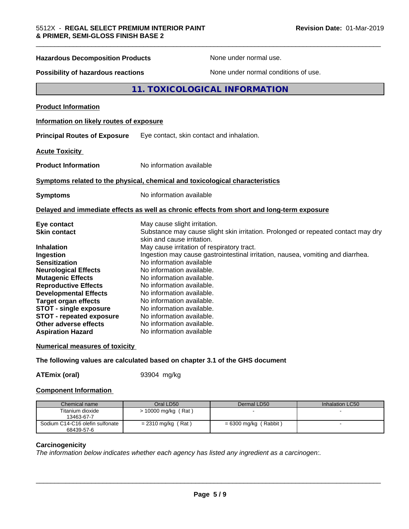| <b>Hazardous Decomposition Products</b>                                                                                                                                                                                                                                                                                                  | None under normal use.                                                                                                                                                                                                                                                                                                                                                                                                        |
|------------------------------------------------------------------------------------------------------------------------------------------------------------------------------------------------------------------------------------------------------------------------------------------------------------------------------------------|-------------------------------------------------------------------------------------------------------------------------------------------------------------------------------------------------------------------------------------------------------------------------------------------------------------------------------------------------------------------------------------------------------------------------------|
| <b>Possibility of hazardous reactions</b>                                                                                                                                                                                                                                                                                                | None under normal conditions of use.                                                                                                                                                                                                                                                                                                                                                                                          |
|                                                                                                                                                                                                                                                                                                                                          | 11. TOXICOLOGICAL INFORMATION                                                                                                                                                                                                                                                                                                                                                                                                 |
| <b>Product Information</b>                                                                                                                                                                                                                                                                                                               |                                                                                                                                                                                                                                                                                                                                                                                                                               |
| Information on likely routes of exposure                                                                                                                                                                                                                                                                                                 |                                                                                                                                                                                                                                                                                                                                                                                                                               |
| <b>Principal Routes of Exposure</b>                                                                                                                                                                                                                                                                                                      | Eye contact, skin contact and inhalation.                                                                                                                                                                                                                                                                                                                                                                                     |
| <b>Acute Toxicity</b>                                                                                                                                                                                                                                                                                                                    |                                                                                                                                                                                                                                                                                                                                                                                                                               |
| <b>Product Information</b>                                                                                                                                                                                                                                                                                                               | No information available                                                                                                                                                                                                                                                                                                                                                                                                      |
|                                                                                                                                                                                                                                                                                                                                          | Symptoms related to the physical, chemical and toxicological characteristics                                                                                                                                                                                                                                                                                                                                                  |
| <b>Symptoms</b>                                                                                                                                                                                                                                                                                                                          | No information available                                                                                                                                                                                                                                                                                                                                                                                                      |
|                                                                                                                                                                                                                                                                                                                                          | Delayed and immediate effects as well as chronic effects from short and long-term exposure                                                                                                                                                                                                                                                                                                                                    |
| Eye contact<br><b>Skin contact</b>                                                                                                                                                                                                                                                                                                       | May cause slight irritation.<br>Substance may cause slight skin irritation. Prolonged or repeated contact may dry<br>skin and cause irritation.                                                                                                                                                                                                                                                                               |
| <b>Inhalation</b><br>Ingestion<br><b>Sensitization</b><br><b>Neurological Effects</b><br><b>Mutagenic Effects</b><br><b>Reproductive Effects</b><br><b>Developmental Effects</b><br><b>Target organ effects</b><br><b>STOT - single exposure</b><br><b>STOT - repeated exposure</b><br>Other adverse effects<br><b>Aspiration Hazard</b> | May cause irritation of respiratory tract.<br>Ingestion may cause gastrointestinal irritation, nausea, vomiting and diarrhea.<br>No information available<br>No information available.<br>No information available.<br>No information available.<br>No information available.<br>No information available.<br>No information available.<br>No information available.<br>No information available.<br>No information available |

\_\_\_\_\_\_\_\_\_\_\_\_\_\_\_\_\_\_\_\_\_\_\_\_\_\_\_\_\_\_\_\_\_\_\_\_\_\_\_\_\_\_\_\_\_\_\_\_\_\_\_\_\_\_\_\_\_\_\_\_\_\_\_\_\_\_\_\_\_\_\_\_\_\_\_\_\_\_\_\_\_\_\_\_\_\_\_\_\_\_\_\_\_

#### **Numerical measures of toxicity**

**The following values are calculated based on chapter 3.1 of the GHS document**

**ATEmix (oral)** 93904 mg/kg

#### **Component Information**

| Chemical name                   | Oral LD50             | Dermal LD50             | Inhalation LC50 |
|---------------------------------|-----------------------|-------------------------|-----------------|
| Titanium dioxide                | $> 10000$ mg/kg (Rat) |                         |                 |
| 13463-67-7                      |                       |                         |                 |
| Sodium C14-C16 olefin sulfonate | $= 2310$ mg/kg (Rat)  | $= 6300$ mg/kg (Rabbit) |                 |
| 68439-57-6                      |                       |                         |                 |

#### **Carcinogenicity**

*The information below indicateswhether each agency has listed any ingredient as a carcinogen:.*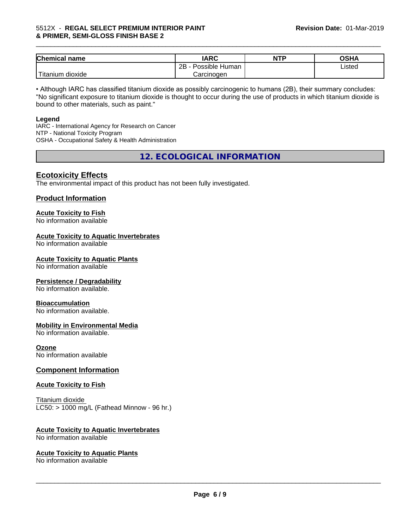#### 5512X - **REGAL SELECT PREMIUM INTERIOR PAINT & PRIMER, SEMI-GLOSS FINISH BASE 2**

| <b>Chemical name</b>        | <b>IARC</b>          | <b>NTP</b> | OSHA   |
|-----------------------------|----------------------|------------|--------|
|                             | Possible Human<br>2B |            | Listed |
| l mu<br>dioxide<br>Titanium | Carcinogen           |            |        |

\_\_\_\_\_\_\_\_\_\_\_\_\_\_\_\_\_\_\_\_\_\_\_\_\_\_\_\_\_\_\_\_\_\_\_\_\_\_\_\_\_\_\_\_\_\_\_\_\_\_\_\_\_\_\_\_\_\_\_\_\_\_\_\_\_\_\_\_\_\_\_\_\_\_\_\_\_\_\_\_\_\_\_\_\_\_\_\_\_\_\_\_\_

• Although IARC has classified titanium dioxide as possibly carcinogenic to humans (2B), their summary concludes: "No significant exposure to titanium dioxide is thought to occur during the use of products in which titanium dioxide is bound to other materials, such as paint."

#### **Legend**

IARC - International Agency for Research on Cancer NTP - National Toxicity Program OSHA - Occupational Safety & Health Administration

**12. ECOLOGICAL INFORMATION**

### **Ecotoxicity Effects**

The environmental impact of this product has not been fully investigated.

#### **Product Information**

# **Acute Toxicity to Fish**

No information available

#### **Acute Toxicity to Aquatic Invertebrates**

No information available

#### **Acute Toxicity to Aquatic Plants**

No information available

#### **Persistence / Degradability**

No information available.

#### **Bioaccumulation**

No information available.

#### **Mobility in Environmental Media**

No information available.

#### **Ozone**

No information available

#### **Component Information**

#### **Acute Toxicity to Fish**

Titanium dioxide  $LC50:$  > 1000 mg/L (Fathead Minnow - 96 hr.)

#### **Acute Toxicity to Aquatic Invertebrates**

No information available

#### **Acute Toxicity to Aquatic Plants**

No information available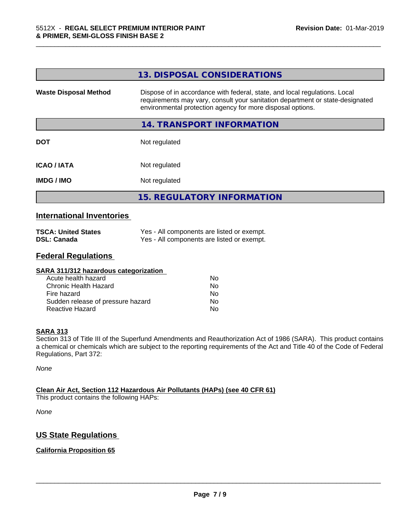| <b>Waste Disposal Method</b><br>Dispose of in accordance with federal, state, and local regulations. Local<br>requirements may vary, consult your sanitation department or state-designated<br>environmental protection agency for more disposal options. |  |
|-----------------------------------------------------------------------------------------------------------------------------------------------------------------------------------------------------------------------------------------------------------|--|
|                                                                                                                                                                                                                                                           |  |
| 14. TRANSPORT INFORMATION                                                                                                                                                                                                                                 |  |
| Not regulated<br><b>DOT</b>                                                                                                                                                                                                                               |  |
| Not regulated<br><b>ICAO/IATA</b>                                                                                                                                                                                                                         |  |
| <b>IMDG/IMO</b><br>Not regulated                                                                                                                                                                                                                          |  |
| <b>15. REGULATORY INFORMATION</b>                                                                                                                                                                                                                         |  |

\_\_\_\_\_\_\_\_\_\_\_\_\_\_\_\_\_\_\_\_\_\_\_\_\_\_\_\_\_\_\_\_\_\_\_\_\_\_\_\_\_\_\_\_\_\_\_\_\_\_\_\_\_\_\_\_\_\_\_\_\_\_\_\_\_\_\_\_\_\_\_\_\_\_\_\_\_\_\_\_\_\_\_\_\_\_\_\_\_\_\_\_\_

#### **International Inventories**

| <b>TSCA: United States</b> | Yes - All components are listed or exempt. |
|----------------------------|--------------------------------------------|
| <b>DSL: Canada</b>         | Yes - All components are listed or exempt. |

# **Federal Regulations**

| SARA 311/312 hazardous categorization |    |  |
|---------------------------------------|----|--|
| Acute health hazard                   | Nο |  |
| Chronic Health Hazard                 | No |  |
| Fire hazard                           | No |  |
| Sudden release of pressure hazard     | Nο |  |
| <b>Reactive Hazard</b>                | No |  |

#### **SARA 313**

Section 313 of Title III of the Superfund Amendments and Reauthorization Act of 1986 (SARA). This product contains a chemical or chemicals which are subject to the reporting requirements of the Act and Title 40 of the Code of Federal Regulations, Part 372:

*None*

#### **Clean Air Act,Section 112 Hazardous Air Pollutants (HAPs) (see 40 CFR 61)**

This product contains the following HAPs:

*None*

# **US State Regulations**

#### **California Proposition 65**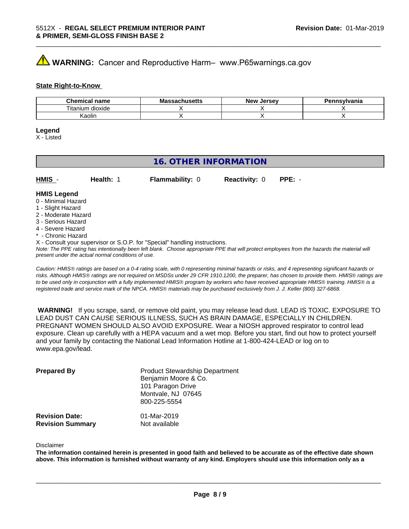# **WARNING:** Cancer and Reproductive Harm– www.P65warnings.ca.gov

#### **State Right-to-Know**

| Chemical<br>name      | M۰<br>.ehee <del>l</del> k<br>No<br>⊶atiluscus | <b>Jersev</b><br><b>Nev</b> | Pennsvlvania |
|-----------------------|------------------------------------------------|-----------------------------|--------------|
| ⊦dioxide<br>l itanium |                                                |                             |              |
| Kaolin                |                                                |                             |              |

\_\_\_\_\_\_\_\_\_\_\_\_\_\_\_\_\_\_\_\_\_\_\_\_\_\_\_\_\_\_\_\_\_\_\_\_\_\_\_\_\_\_\_\_\_\_\_\_\_\_\_\_\_\_\_\_\_\_\_\_\_\_\_\_\_\_\_\_\_\_\_\_\_\_\_\_\_\_\_\_\_\_\_\_\_\_\_\_\_\_\_\_\_

#### **Legend**

X - Listed

# **16. OTHER INFORMATION**

| $HMIS -$           | Health: 1 | <b>Flammability: 0</b> | <b>Reactivity: 0</b> | $PPE: -$ |  |
|--------------------|-----------|------------------------|----------------------|----------|--|
| <b>HMIS Legend</b> |           |                        |                      |          |  |

#### 0 - Minimal Hazard

- 1 Slight Hazard
- 2 Moderate Hazard
- 3 Serious Hazard
- 4 Severe Hazard
- \* Chronic Hazard
- X Consult your supervisor or S.O.P. for "Special" handling instructions.

*Note: The PPE rating has intentionally been left blank. Choose appropriate PPE that will protect employees from the hazards the material will present under the actual normal conditions of use.*

*Caution: HMISÒ ratings are based on a 0-4 rating scale, with 0 representing minimal hazards or risks, and 4 representing significant hazards or risks. Although HMISÒ ratings are not required on MSDSs under 29 CFR 1910.1200, the preparer, has chosen to provide them. HMISÒ ratings are to be used only in conjunction with a fully implemented HMISÒ program by workers who have received appropriate HMISÒ training. HMISÒ is a registered trade and service mark of the NPCA. HMISÒ materials may be purchased exclusively from J. J. Keller (800) 327-6868.*

 **WARNING!** If you scrape, sand, or remove old paint, you may release lead dust. LEAD IS TOXIC. EXPOSURE TO LEAD DUST CAN CAUSE SERIOUS ILLNESS, SUCH AS BRAIN DAMAGE, ESPECIALLY IN CHILDREN. PREGNANT WOMEN SHOULD ALSO AVOID EXPOSURE.Wear a NIOSH approved respirator to control lead exposure. Clean up carefully with a HEPA vacuum and a wet mop. Before you start, find out how to protect yourself and your family by contacting the National Lead Information Hotline at 1-800-424-LEAD or log on to www.epa.gov/lead.

| <b>Prepared By</b>                               | <b>Product Stewardship Department</b><br>Benjamin Moore & Co.<br>101 Paragon Drive<br>Montvale, NJ 07645<br>800-225-5554 |  |
|--------------------------------------------------|--------------------------------------------------------------------------------------------------------------------------|--|
| <b>Revision Date:</b><br><b>Revision Summary</b> | 01-Mar-2019<br>Not available                                                                                             |  |

#### Disclaimer

The information contained herein is presented in good faith and believed to be accurate as of the effective date shown above. This information is furnished without warranty of any kind. Employers should use this information only as a